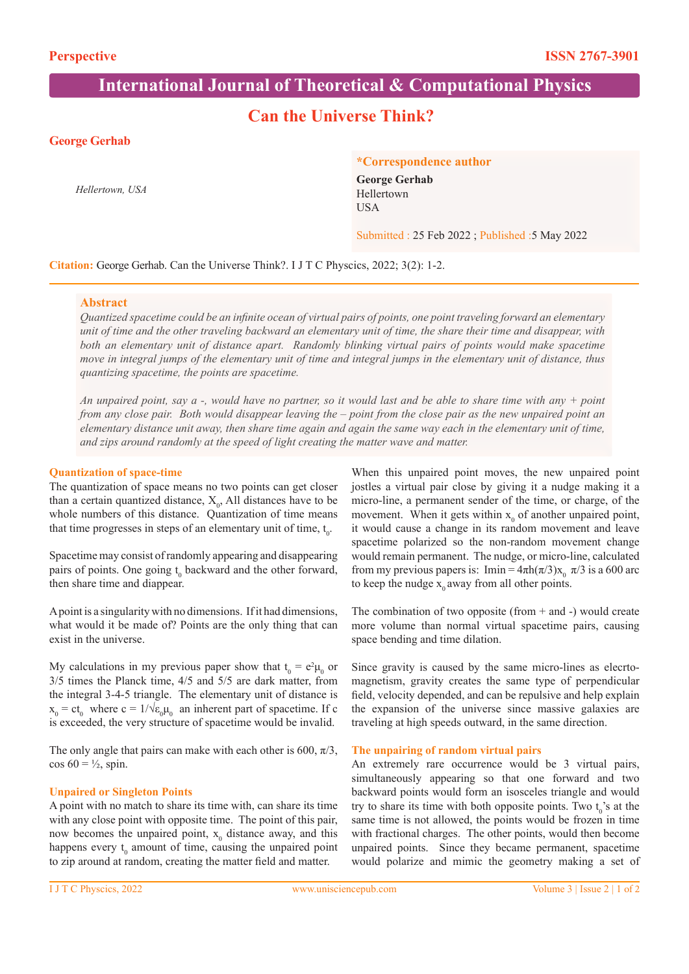# **International Journal of Theoretical & Computational Physics**

# **Can the Universe Think?**

# **George Gerhab**

*Hellertown, USA*

#### **\*Correspondence author**

**George Gerhab**  Hellertown USA

Submitted : 25 Feb 2022 ; Published :5 May 2022

# **Citation:** George Gerhab. Can the Universe Think?. I J T C Physcics, 2022; 3(2): 1-2.

### **Abstract**

*Quantized spacetime could be an infinite ocean of virtual pairs of points, one point traveling forward an elementary unit of time and the other traveling backward an elementary unit of time, the share their time and disappear, with both an elementary unit of distance apart. Randomly blinking virtual pairs of points would make spacetime move in integral jumps of the elementary unit of time and integral jumps in the elementary unit of distance, thus quantizing spacetime, the points are spacetime.*

*An unpaired point, say a -, would have no partner, so it would last and be able to share time with any + point from any close pair. Both would disappear leaving the – point from the close pair as the new unpaired point an elementary distance unit away, then share time again and again the same way each in the elementary unit of time, and zips around randomly at the speed of light creating the matter wave and matter.*

#### **Quantization of space-time**

The quantization of space means no two points can get closer than a certain quantized distance,  $X_0$ , All distances have to be whole numbers of this distance. Quantization of time means that time progresses in steps of an elementary unit of time,  $t_0$ .

Spacetime may consist of randomly appearing and disappearing pairs of points. One going  $t_0$  backward and the other forward, then share time and diappear.

A point is a singularity with no dimensions. If it had dimensions, what would it be made of? Points are the only thing that can exist in the universe.

My calculations in my previous paper show that  $t_0 = e^2 \mu_0$  or 3/5 times the Planck time, 4/5 and 5/5 are dark matter, from the integral 3-4-5 triangle. The elementary unit of distance is  $x_0 = ct_0$  where  $c = 1/\sqrt{\epsilon_0 \mu_0}$  an inherent part of spacetime. If c is exceeded, the very structure of spacetime would be invalid.

The only angle that pairs can make with each other is 600,  $\pi/3$ , cos  $60 = \frac{1}{2}$ , spin.

#### **Unpaired or Singleton Points**

A point with no match to share its time with, can share its time with any close point with opposite time. The point of this pair, now becomes the unpaired point,  $x_0$  distance away, and this happens every  $t_0$  amount of time, causing the unpaired point to zip around at random, creating the matter field and matter.

When this unpaired point moves, the new unpaired point jostles a virtual pair close by giving it a nudge making it a micro-line, a permanent sender of the time, or charge, of the movement. When it gets within  $x_0$  of another unpaired point, it would cause a change in its random movement and leave spacetime polarized so the non-random movement change would remain permanent. The nudge, or micro-line, calculated from my previous papers is: Imin =  $4\pi h(\pi/3)x_0 \pi/3$  is a 600 arc to keep the nudge  $x_0$  away from all other points.

The combination of two opposite (from  $+$  and  $-$ ) would create more volume than normal virtual spacetime pairs, causing space bending and time dilation.

Since gravity is caused by the same micro-lines as elecrtomagnetism, gravity creates the same type of perpendicular field, velocity depended, and can be repulsive and help explain the expansion of the universe since massive galaxies are traveling at high speeds outward, in the same direction.

# **The unpairing of random virtual pairs**

An extremely rare occurrence would be 3 virtual pairs, simultaneously appearing so that one forward and two backward points would form an isosceles triangle and would try to share its time with both opposite points. Two  $t_0$ 's at the same time is not allowed, the points would be frozen in time with fractional charges. The other points, would then become unpaired points. Since they became permanent, spacetime would polarize and mimic the geometry making a set of